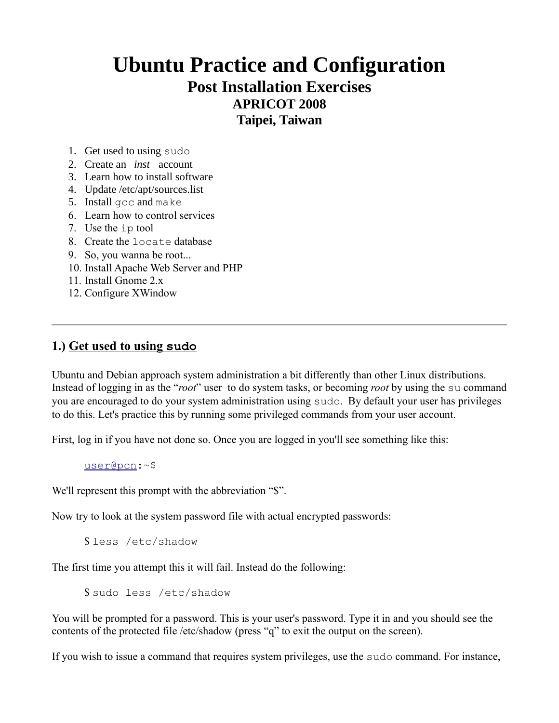# **Ubuntu Practice and Configuration Post Installation Exercises APRICOT 2008**

**Taipei, Taiwan**

- 1. Get used to using sudo
- 2. Create an *inst* account
- 3. Learn how to install software
- 4. Update /etc/apt/sources.list
- 5. Install gcc and make
- 6. Learn how to control services
- 7. Use the ip tool
- 8. Create the locate database
- 9. So, you wanna be root...
- 10. Install Apache Web Server and PHP
- 11. Install Gnome 2.x
- 12. Configure XWindow

# **1.) Get used to using sudo**

Ubuntu and Debian approach system administration a bit differently than other Linux distributions. Instead of logging in as the "*root*" user to do system tasks, or becoming *root* by using the su command you are encouraged to do your system administration using sudo. By default your user has privileges to do this. Let's practice this by running some privileged commands from your user account.

First, log in if you have not done so. Once you are logged in you'll see something like this:

[user@pcn:](mailto:user@pcn)~\$

We'll represent this prompt with the abbreviation "\$".

Now try to look at the system password file with actual encrypted passwords:

\$ less /etc/shadow

The first time you attempt this it will fail. Instead do the following:

\$ sudo less /etc/shadow

You will be prompted for a password. This is your user's password. Type it in and you should see the contents of the protected file /etc/shadow (press "q" to exit the output on the screen).

If you wish to issue a command that requires system privileges, use the sudo command. For instance,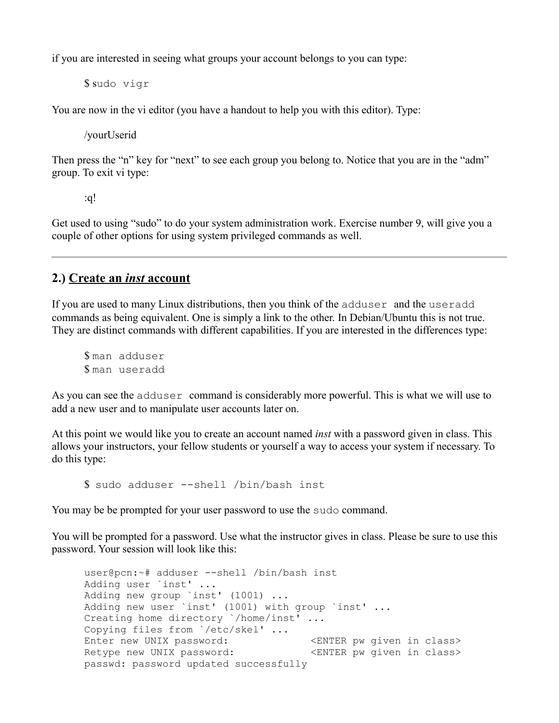if you are interested in seeing what groups your account belongs to you can type:

\$ sudo vigr

You are now in the vi editor (you have a handout to help you with this editor). Type:

/yourUserid

Then press the "n" key for "next" to see each group you belong to. Notice that you are in the "adm" group. To exit vi type:

:q!

Get used to using "sudo" to do your system administration work. Exercise number 9, will give you a couple of other options for using system privileged commands as well.

## **2.) Create an** *inst* **account**

If you are used to many Linux distributions, then you think of the adduser and the useradd commands as being equivalent. One is simply a link to the other. In Debian/Ubuntu this is not true. They are distinct commands with different capabilities. If you are interested in the differences type:

\$ man adduser \$ man useradd

As you can see the adduser command is considerably more powerful. This is what we will use to add a new user and to manipulate user accounts later on.

At this point we would like you to create an account named *inst* with a password given in class. This allows your instructors, your fellow students or yourself a way to access your system if necessary. To do this type:

\$ sudo adduser --shell /bin/bash inst

You may be be prompted for your user password to use the sudo command.

You will be prompted for a password. Use what the instructor gives in class. Please be sure to use this password. Your session will look like this:

```
user@pcn:~# adduser --shell /bin/bash inst
Adding user `inst' ...
Adding new group `inst' (1001) ...
Adding new user `inst' (1001) with group `inst' ...
Creating home directory `/home/inst' ...
Copying files from `/etc/skel' ...
Enter new UNIX password: \, <ENTER pw given in class>
Retype new UNIX password: \leq <ENTER pw given in class>
passwd: password updated successfully
```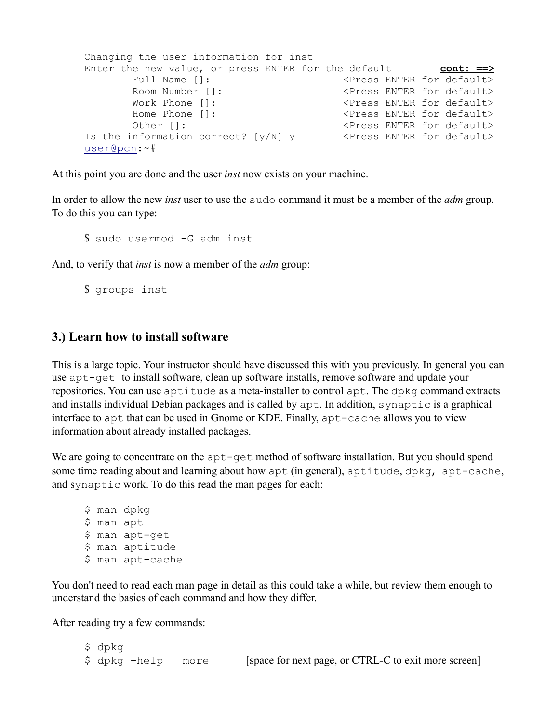```
Changing the user information for inst
Enter the new value, or press ENTER for the default cont: ==>
      Full Name []: \langle Press ENTER for default>
       Room Number []: <Press ENTER for default>
      Work Phone []: \langle Press ENTER for default>
      Home Phone []: \langle Press ENTER for default>
      Other []: \langle Press ENTER for default>
Is the information correct? [y/N] y \leq Press ENTER for default>
user@pcn:~#
```
At this point you are done and the user *inst* now exists on your machine.

In order to allow the new *inst* user to use the sudo command it must be a member of the *adm* group. To do this you can type:

\$ sudo usermod -G adm inst

And, to verify that *inst* is now a member of the *adm* group:

\$ groups inst

## **3.) Learn how to install software**

This is a large topic. Your instructor should have discussed this with you previously. In general you can use apt-get to install software, clean up software installs, remove software and update your repositories. You can use aptitude as a meta-installer to control apt. The dpkg command extracts and installs individual Debian packages and is called by apt. In addition, synaptic is a graphical interface to apt that can be used in Gnome or KDE. Finally, apt-cache allows you to view information about already installed packages.

We are going to concentrate on the  $apt-qet$  method of software installation. But you should spend some time reading about and learning about how apt (in general), aptitude, dpkg, apt-cache, and synaptic work. To do this read the man pages for each:

```
$ man dpkg
$ man apt
$ man apt-get
$ man aptitude
$ man apt-cache
```
You don't need to read each man page in detail as this could take a while, but review them enough to understand the basics of each command and how they differ.

After reading try a few commands:

\$ dpkg \$ dpkg -help | more [space for next page, or CTRL-C to exit more screen]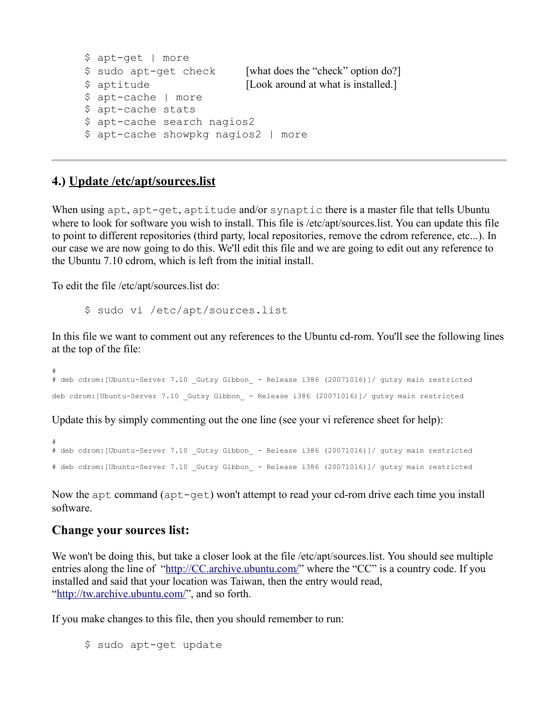```
$ apt-get | more
$ sudo apt-get check [what does the "check" option do?]
$ aptitude [Look around at what is installed.]
$ apt-cache | more
$ apt-cache stats
$ apt-cache search nagios2
$ apt-cache showpkg nagios2 | more
```
## **4.) Update /etc/apt/sources.list**

When using apt, apt-get, aptitude and/or synaptic there is a master file that tells Ubuntu where to look for software you wish to install. This file is /etc/apt/sources.list. You can update this file to point to different repositories (third party, local repositories, remove the cdrom reference, etc...). In our case we are now going to do this. We'll edit this file and we are going to edit out any reference to the Ubuntu 7.10 cdrom, which is left from the initial install.

To edit the file /etc/apt/sources.list do:

\$ sudo vi /etc/apt/sources.list

In this file we want to comment out any references to the Ubuntu cd-rom. You'll see the following lines at the top of the file:

# # deb cdrom:[Ubuntu-Server 7.10 \_Gutsy Gibbon\_ - Release i386 (20071016)]/ gutsy main restricted deb cdrom: [Ubuntu-Server 7.10 Gutsy Gibbon - Release i386 (20071016)]/ gutsy main restricted

Update this by simply commenting out the one line (see your vi reference sheet for help):

```
#
# deb cdrom:[Ubuntu-Server 7.10 _Gutsy Gibbon_ - Release i386 (20071016)]/ gutsy main restricted
# deb cdrom:[Ubuntu-Server 7.10 _Gutsy Gibbon_ - Release i386 (20071016)]/ gutsy main restricted
```
Now the apt command (apt-get) won't attempt to read your cd-rom drive each time you install software.

#### **Change your sources list:**

We won't be doing this, but take a closer look at the file /etc/apt/sources.list. You should see multiple entries along the line of ["http://CC.archive.ubuntu.com/"](http://CC.archive.ubuntu.com/) where the "CC" is a country code. If you installed and said that your location was Taiwan, then the entry would read, ["http://tw.archive.ubuntu.com/"](http://tw.archive.ubuntu.com/), and so forth.

If you make changes to this file, then you should remember to run:

\$ sudo apt-get update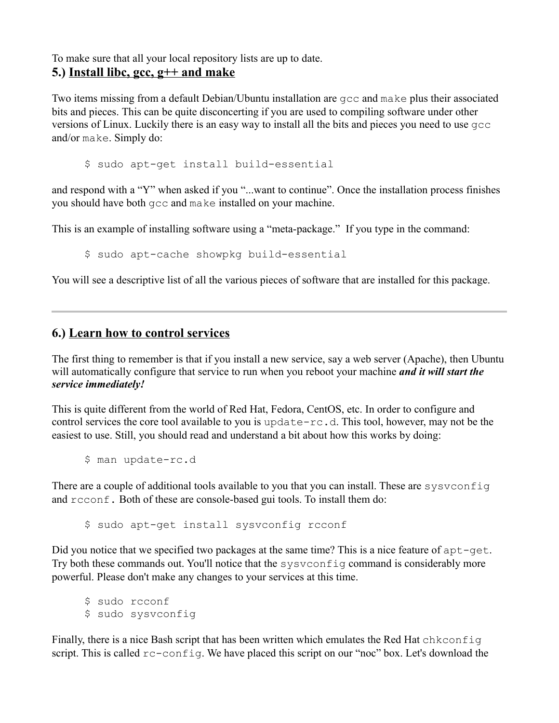To make sure that all your local repository lists are up to date. **5.) Install libc, gcc, g++ and make**

Two items missing from a default Debian/Ubuntu installation are gcc and make plus their associated bits and pieces. This can be quite disconcerting if you are used to compiling software under other versions of Linux. Luckily there is an easy way to install all the bits and pieces you need to use gcc and/or make. Simply do:

\$ sudo apt-get install build-essential

and respond with a "Y" when asked if you "...want to continue". Once the installation process finishes you should have both gcc and make installed on your machine.

This is an example of installing software using a "meta-package." If you type in the command:

\$ sudo apt-cache showpkg build-essential

You will see a descriptive list of all the various pieces of software that are installed for this package.

#### **6.) Learn how to control services**

The first thing to remember is that if you install a new service, say a web server (Apache), then Ubuntu will automatically configure that service to run when you reboot your machine *and it will start the service immediately!*

This is quite different from the world of Red Hat, Fedora, CentOS, etc. In order to configure and control services the core tool available to you is update-rc.d. This tool, however, may not be the easiest to use. Still, you should read and understand a bit about how this works by doing:

\$ man update-rc.d

There are a couple of additional tools available to you that you can install. These are sysvconfiq and rcconf. Both of these are console-based gui tools. To install them do:

\$ sudo apt-get install sysvconfig rcconf

Did you notice that we specified two packages at the same time? This is a nice feature of  $apt-qet$ . Try both these commands out. You'll notice that the sysvconfig command is considerably more powerful. Please don't make any changes to your services at this time.

\$ sudo rcconf \$ sudo sysvconfig

Finally, there is a nice Bash script that has been written which emulates the Red Hat chkconfig script. This is called  $rc$ -config. We have placed this script on our "noc" box. Let's download the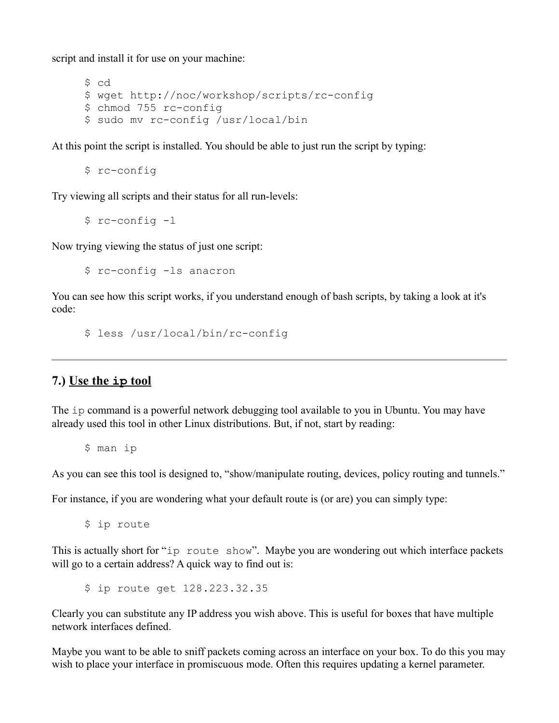script and install it for use on your machine:

```
$ cd
$ wget http://noc/workshop/scripts/rc-config
$ chmod 755 rc-config
$ sudo mv rc-config /usr/local/bin
```
At this point the script is installed. You should be able to just run the script by typing:

\$ rc-config

Try viewing all scripts and their status for all run-levels:

\$ rc-config -l

Now trying viewing the status of just one script:

\$ rc-config -ls anacron

You can see how this script works, if you understand enough of bash scripts, by taking a look at it's code:

\$ less /usr/local/bin/rc-config

# **7.) Use the ip tool**

The ip command is a powerful network debugging tool available to you in Ubuntu. You may have already used this tool in other Linux distributions. But, if not, start by reading:

\$ man ip

As you can see this tool is designed to, "show/manipulate routing, devices, policy routing and tunnels."

For instance, if you are wondering what your default route is (or are) you can simply type:

\$ ip route

This is actually short for "ip route show". Maybe you are wondering out which interface packets will go to a certain address? A quick way to find out is:

\$ ip route get 128.223.32.35

Clearly you can substitute any IP address you wish above. This is useful for boxes that have multiple network interfaces defined.

Maybe you want to be able to sniff packets coming across an interface on your box. To do this you may wish to place your interface in promiscuous mode. Often this requires updating a kernel parameter.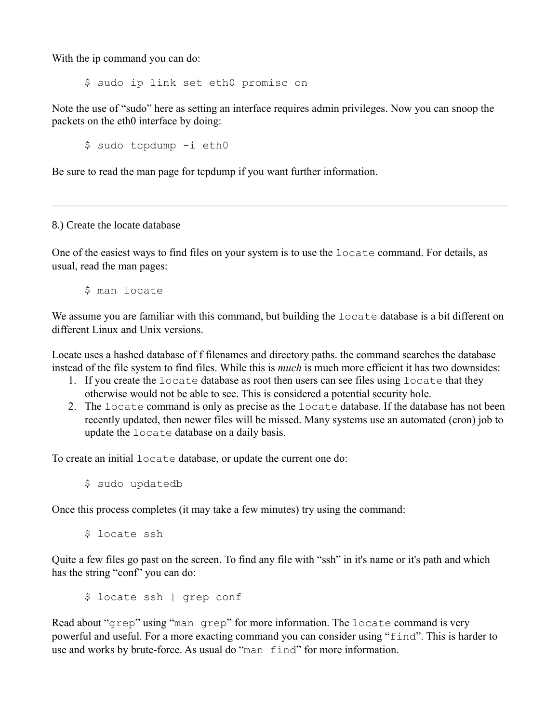With the ip command you can do:

\$ sudo ip link set eth0 promisc on

Note the use of "sudo" here as setting an interface requires admin privileges. Now you can snoop the packets on the eth0 interface by doing:

\$ sudo tcpdump -i eth0

Be sure to read the man page for tcpdump if you want further information.

8.) Create the locate database

One of the easiest ways to find files on your system is to use the locate command. For details, as usual, read the man pages:

\$ man locate

We assume you are familiar with this command, but building the locate database is a bit different on different Linux and Unix versions.

Locate uses a hashed database of f filenames and directory paths. the command searches the database instead of the file system to find files. While this is *much* is much more efficient it has two downsides:

- 1. If you create the locate database as root then users can see files using locate that they otherwise would not be able to see. This is considered a potential security hole.
- 2. The locate command is only as precise as the locate database. If the database has not been recently updated, then newer files will be missed. Many systems use an automated (cron) job to update the locate database on a daily basis.

To create an initial locate database, or update the current one do:

\$ sudo updatedb

Once this process completes (it may take a few minutes) try using the command:

\$ locate ssh

Quite a few files go past on the screen. To find any file with "ssh" in it's name or it's path and which has the string "conf" you can do:

\$ locate ssh | grep conf

Read about "grep" using "man grep" for more information. The locate command is very powerful and useful. For a more exacting command you can consider using "find". This is harder to use and works by brute-force. As usual do "man find" for more information.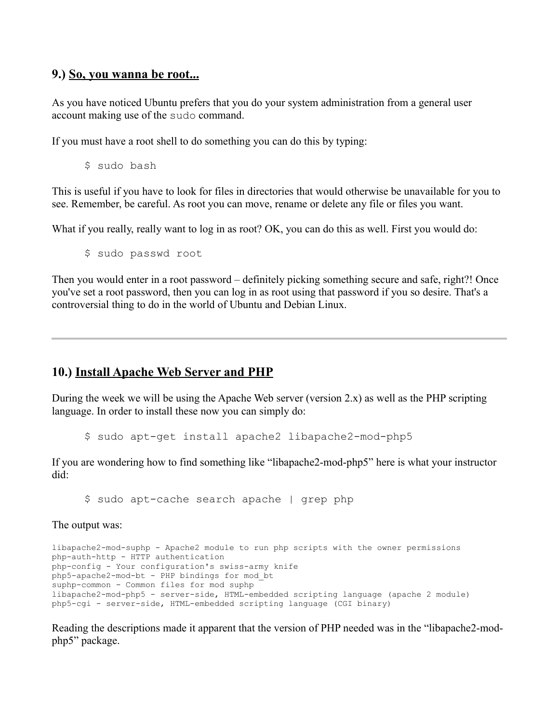## **9.) So, you wanna be root...**

As you have noticed Ubuntu prefers that you do your system administration from a general user account making use of the sudo command.

If you must have a root shell to do something you can do this by typing:

\$ sudo bash

This is useful if you have to look for files in directories that would otherwise be unavailable for you to see. Remember, be careful. As root you can move, rename or delete any file or files you want.

What if you really, really want to log in as root? OK, you can do this as well. First you would do:

\$ sudo passwd root

Then you would enter in a root password – definitely picking something secure and safe, right?! Once you've set a root password, then you can log in as root using that password if you so desire. That's a controversial thing to do in the world of Ubuntu and Debian Linux.

## **10.) Install Apache Web Server and PHP**

During the week we will be using the Apache Web server (version  $2.x$ ) as well as the PHP scripting language. In order to install these now you can simply do:

\$ sudo apt-get install apache2 libapache2-mod-php5

If you are wondering how to find something like "libapache2-mod-php5" here is what your instructor did:

\$ sudo apt-cache search apache | grep php

The output was:

libapache2-mod-suphp - Apache2 module to run php scripts with the owner permissions php-auth-http - HTTP authentication php-config - Your configuration's swiss-army knife php5-apache2-mod-bt - PHP bindings for mod\_bt suphp-common - Common files for mod suphp libapache2-mod-php5 - server-side, HTML-embedded scripting language (apache 2 module) php5-cgi - server-side, HTML-embedded scripting language (CGI binary)

Reading the descriptions made it apparent that the version of PHP needed was in the "libapache2-modphp5" package.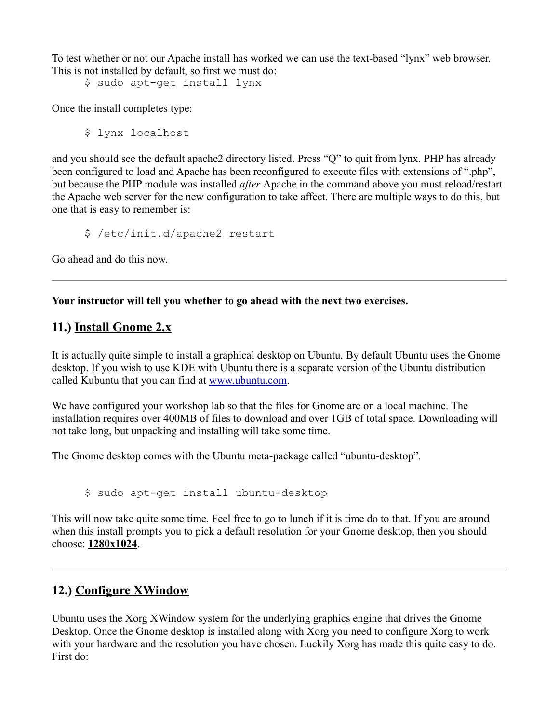To test whether or not our Apache install has worked we can use the text-based "lynx" web browser. This is not installed by default, so first we must do:

\$ sudo apt-get install lynx

Once the install completes type:

\$ lynx localhost

and you should see the default apache2 directory listed. Press "Q" to quit from lynx. PHP has already been configured to load and Apache has been reconfigured to execute files with extensions of ".php", but because the PHP module was installed *after* Apache in the command above you must reload/restart the Apache web server for the new configuration to take affect. There are multiple ways to do this, but one that is easy to remember is:

\$ /etc/init.d/apache2 restart

Go ahead and do this now.

**Your instructor will tell you whether to go ahead with the next two exercises.**

# **11.) Install Gnome 2.x**

It is actually quite simple to install a graphical desktop on Ubuntu. By default Ubuntu uses the Gnome desktop. If you wish to use KDE with Ubuntu there is a separate version of the Ubuntu distribution called Kubuntu that you can find at [www.ubuntu.com.](http://www.ubuntu.com/)

We have configured your workshop lab so that the files for Gnome are on a local machine. The installation requires over 400MB of files to download and over 1GB of total space. Downloading will not take long, but unpacking and installing will take some time.

The Gnome desktop comes with the Ubuntu meta-package called "ubuntu-desktop".

\$ sudo apt-get install ubuntu-desktop

This will now take quite some time. Feel free to go to lunch if it is time do to that. If you are around when this install prompts you to pick a default resolution for your Gnome desktop, then you should choose: **1280x1024**.

# **12.) Configure XWindow**

Ubuntu uses the Xorg XWindow system for the underlying graphics engine that drives the Gnome Desktop. Once the Gnome desktop is installed along with Xorg you need to configure Xorg to work with your hardware and the resolution you have chosen. Luckily Xorg has made this quite easy to do. First do: